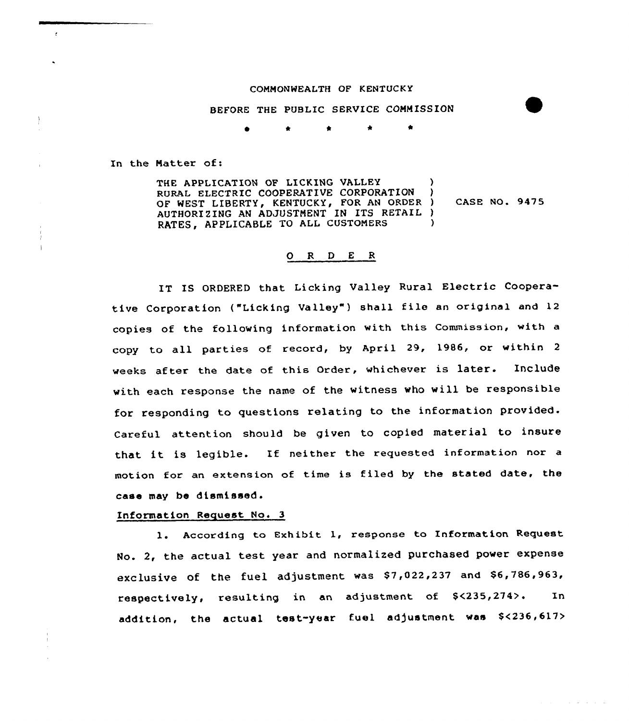## COMMONWEALTH OF KENTUCKY

BEFORE THE PUBLIC SERVICE COMMISSION

In the Natter of:

 $\epsilon$ 

THE APPLICATION OF LICKING VALLEY RURAL ELECTRIC COOPERATIVE CORPORATION OF WEST LIBERTY, KENTUCKY, FOR AN ORDER AUTHORIZING AN ADJUSTMENT IN ITS RETAIL ) RATES, APPLICABLE TO ALL CUSTONERS ) ) ) CASE NO. 9476 )

## 0 <sup>R</sup> <sup>D</sup> <sup>E</sup> <sup>R</sup>

IT IS ORDERED that Licking Valley Rural Electric Cooperative Corporation ("Licking Valley") shall file an original and 12 copies of the following information with this Commission, with <sup>a</sup> copy to all parties of record, by April 29, 1986, or within <sup>2</sup> weeks after the date of this Order, whichever is later. Include with each response the name of the witness who will be responsible for responding to questions relating to the information provided. Careful attention should be given to copied material to insure that it is legible. If neither the requested information nor <sup>a</sup> motion for an extension of time is filed by the stated date, the case may be dismissed.

## Information Request No. 3

l. According to Exhibit 1, response to Information Request No. 2, the actual test year and normalized purchased power expense exclusive of the fuel adjustment was S7,022,237 and \$6,786,963, respectively, resulting in an adjustment of S<235,274>. In addition, the actual test-year fue1 adjustment was \$<236,617>

and the contract of the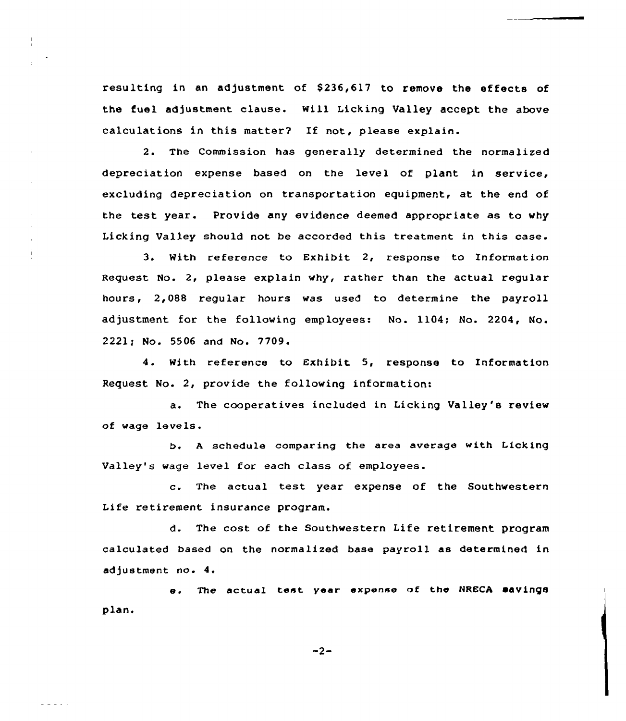resulting in an adjustment of \$236,617 to remove the effects of the fuel adjustment clause. will Licking Valley accept the above calculations in this matter? If not, please explain.

2. The Commission has generally determined the normalized depreciation expense based on the level of plant in service, excluding depreciation on transportation equipment, at the end of the test year. Provide any evidence deemed appropriate as to why Licking Valley should not be accorded this treatment in this case.

3. With reference to Exhibit 2, response to Information Request No. 2, please explain why, rather than the actual regular hours, 2,088 regular hours was used to determine the payroll adjustment for the following employees: No. 1104; No. 2204, No. 2221; No. 5506 and No. 7709.

4. With reference to Exhibit 5, response to Information Request No. 2, provide the following information:

a. The cooperatives included in Licking Valley's review of wage levels.

b. <sup>A</sup> schedule comparing the area average with Licking Valley's wage level for each class of employees.

c. The actual test year expense of the Southwestern Life retirement insurance program.

d. The cost of the Southwestern Life retirement program calculated based on the normalized base payroll as determined in adjustment no. 4.

plan. e. The actual test year expense of the NRECA savings

 $-2-$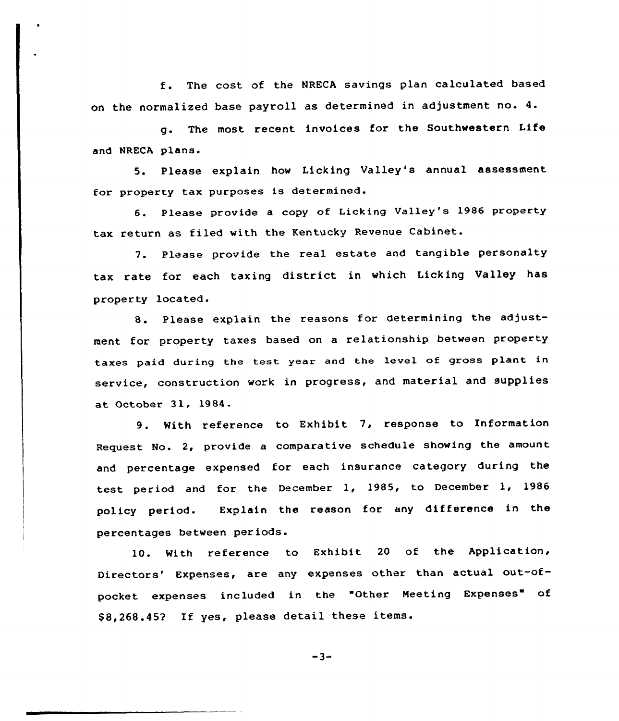<sup>f</sup> . The cost of the NRECA savings plan calculated based on the normalized base payroll as determined in adjustment no. 4.

g. The most recent invoices for the Southwestern Life and NRECA plane.

5. Please explain how Licking Valley's annual assessment for property tax purposes is determined.

6. Please provide <sup>a</sup> copy of Licking Valley'e 1986 property tax return as filed with the Kentucky Revenue Cabinet.

7. Please provide the real estate and tangible personalty tax rate for each taxing district in which Licking Valley has property located.

8. Please explain the reasons for determining the adjustment for property taxes based on a relationship between property taxes paid during the test year and the level of gross plant in service, construction work in progress, and material and supplies at October 31, 1984.

9. With reference to Exhibit 7, response to Information Request No. 2, provide a comparative schedule showing the amount and percentage expensed for each insurance category during the test period and for the December 1, 1985, to December 1, 1986 policy period. Explain the reason for any difference in the percentages between periods.

10. With reference to Exhibit <sup>20</sup> of the Application, Directors" Expenses, are any expenses other than actual out-ofpocket expenses included in the "Other Meeting Expenses" of \$ 8,268.452 If yes, please detail these items.

 $-3-$